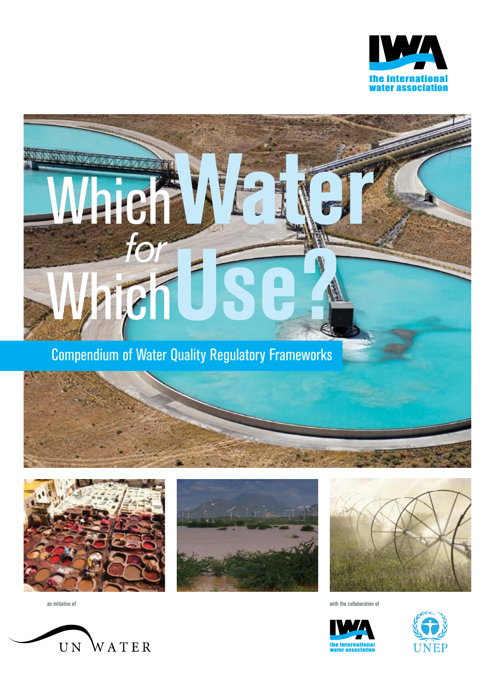



Which Water

Compendium of Water Quality Regulatory Frameworks









an initiative of with the collaboration of





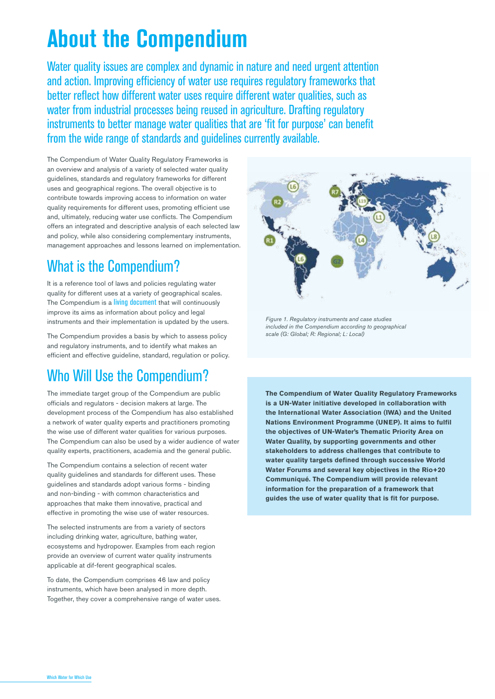# **About the Compendium**

Water quality issues are complex and dynamic in nature and need urgent attention and action. Improving efficiency of water use requires regulatory frameworks that better reflect how different water uses require different water qualities, such as water from industrial processes being reused in agriculture. Drafting regulatory instruments to better manage water qualities that are 'fit for purpose' can benefit from the wide range of standards and guidelines currently available.

The Compendium of Water Quality Regulatory Frameworks is an overview and analysis of a variety of selected water quality guidelines, standards and regulatory frameworks for different uses and geographical regions. The overall objective is to contribute towards improving access to information on water quality requirements for different uses, promoting efficient use and, ultimately, reducing water use conflicts. The Compendium offers an integrated and descriptive analysis of each selected law and policy, while also considering complementary instruments, management approaches and lessons learned on implementation.

## What is the Compendium?

It is a reference tool of laws and policies regulating water quality for different uses at a variety of geographical scales. The Compendium is a living document that will continuously improve its aims as information about policy and legal instruments and their implementation is updated by the users.

The Compendium provides a basis by which to assess policy and regulatory instruments, and to identify what makes an efficient and effective guideline, standard, regulation or policy.

## Who Will Use the Compendium?

The immediate target group of the Compendium are public officials and regulators - decision makers at large. The development process of the Compendium has also established a network of water quality experts and practitioners promoting the wise use of different water qualities for various purposes. The Compendium can also be used by a wider audience of water quality experts, practitioners, academia and the general public.

The Compendium contains a selection of recent water quality guidelines and standards for different uses. These guidelines and standards adopt various forms - binding and non-binding - with common characteristics and approaches that make them innovative, practical and effective in promoting the wise use of water resources.

The selected instruments are from a variety of sectors including drinking water, agriculture, bathing water, ecosystems and hydropower. Examples from each region provide an overview of current water quality instruments applicable at dif-ferent geographical scales.

To date, the Compendium comprises 46 law and policy instruments, which have been analysed in more depth. Together, they cover a comprehensive range of water uses.



*Figure 1. Regulatory instruments and case studies included in the Compendium according to geographical scale (G: Global; R: Regional; L: Local)*

**The Compendium of Water Quality Regulatory Frameworks is a UN-Water initiative developed in collaboration with the International Water Association (IWA) and the United Nations Environment Programme (UNEP). It aims to fulfil the objectives of UN-Water's Thematic Priority Area on Water Quality, by supporting governments and other stakeholders to address challenges that contribute to water quality targets defined through successive World Water Forums and several key objectives in the Rio+20 Communiqué. The Compendium will provide relevant information for the preparation of a framework that guides the use of water quality that is fit for purpose.**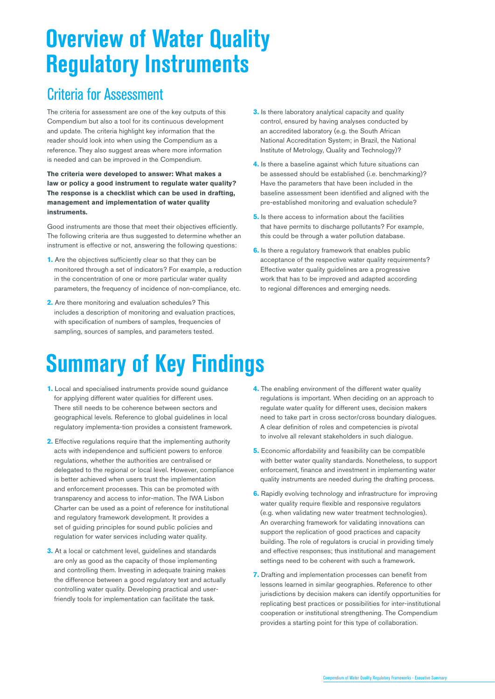# **Overview of Water Quality Regulatory Instruments**

#### Criteria for Assessment

The criteria for assessment are one of the key outputs of this Compendium but also a tool for its continuous development and update. The criteria highlight key information that the reader should look into when using the Compendium as a reference. They also suggest areas where more information is needed and can be improved in the Compendium.

**The criteria were developed to answer: What makes a law or policy a good instrument to regulate water quality? The response is a checklist which can be used in drafting, management and implementation of water quality instruments.**

Good instruments are those that meet their objectives efficiently. The following criteria are thus suggested to determine whether an instrument is effective or not, answering the following questions:

- **1.** Are the objectives sufficiently clear so that they can be monitored through a set of indicators? For example, a reduction in the concentration of one or more particular water quality parameters, the frequency of incidence of non-compliance, etc.
- **2.** Are there monitoring and evaluation schedules? This includes a description of monitoring and evaluation practices, with specification of numbers of samples, frequencies of sampling, sources of samples, and parameters tested.
- **3.** Is there laboratory analytical capacity and quality control, ensured by having analyses conducted by an accredited laboratory (e.g. the South African National Accreditation System; in Brazil, the National Institute of Metrology, Quality and Technology)?
- **4.** Is there a baseline against which future situations can be assessed should be established (i.e. benchmarking)? Have the parameters that have been included in the baseline assessment been identified and aligned with the pre-established monitoring and evaluation schedule?
- **5.** Is there access to information about the facilities that have permits to discharge pollutants? For example, this could be through a water pollution database.
- **6.** Is there a regulatory framework that enables public acceptance of the respective water quality requirements? Effective water quality guidelines are a progressive work that has to be improved and adapted according to regional differences and emerging needs.

# **Summary of Key Findings**

- **1.** Local and specialised instruments provide sound guidance for applying different water qualities for different uses. There still needs to be coherence between sectors and geographical levels. Reference to global guidelines in local regulatory implementa-tion provides a consistent framework.
- **2.** Effective regulations require that the implementing authority acts with independence and sufficient powers to enforce regulations, whether the authorities are centralised or delegated to the regional or local level. However, compliance is better achieved when users trust the implementation and enforcement processes. This can be promoted with transparency and access to infor-mation. The IWA Lisbon Charter can be used as a point of reference for institutional and regulatory framework development. It provides a set of guiding principles for sound public policies and regulation for water services including water quality.
- **3.** At a local or catchment level, guidelines and standards are only as good as the capacity of those implementing and controlling them. Investing in adequate training makes the difference between a good regulatory text and actually controlling water quality. Developing practical and userfriendly tools for implementation can facilitate the task.
- **4.** The enabling environment of the different water quality regulations is important. When deciding on an approach to regulate water quality for different uses, decision makers need to take part in cross sector/cross boundary dialogues. A clear definition of roles and competencies is pivotal to involve all relevant stakeholders in such dialogue.
- **5.** Economic affordability and feasibility can be compatible with better water quality standards. Nonetheless, to support enforcement, finance and investment in implementing water quality instruments are needed during the drafting process.
- **6.** Rapidly evolving technology and infrastructure for improving water quality require flexible and responsive regulators (e.g. when validating new water treatment technologies). An overarching framework for validating innovations can support the replication of good practices and capacity building. The role of regulators is crucial in providing timely and effective responses; thus institutional and management settings need to be coherent with such a framework.
- **7.** Drafting and implementation processes can benefit from lessons learned in similar geographies. Reference to other jurisdictions by decision makers can identify opportunities for replicating best practices or possibilities for inter-institutional cooperation or institutional strengthening. The Compendium provides a starting point for this type of collaboration.